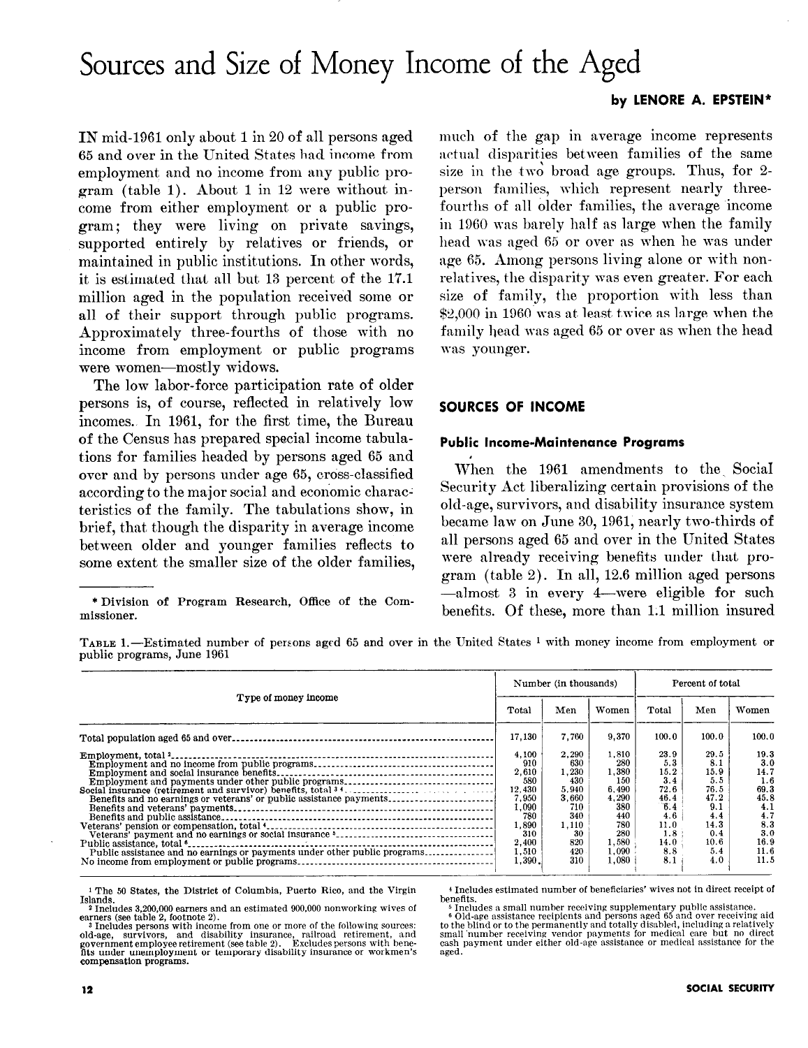# Sources and Size of Money Income of the Aged

### by LENORE A. EPSTEIN\*

IN mid-1961 only about 1 in 20 of all persons aged 65 and over in the United States had income from employment and no income from any public program (table 1). About 1 in 12 were without income from either employment or a public program ; they were living on private savings, supported entirely by relatives or friends, or maintained in public institutions. In other words, it is estimated that all but 13 percent of the 17.1 million aged in the population received some or all of their support through public programs. Approximately three-fourths of those with no income from employment or public programs were women-mostly widows.

The low labor-force participation rate of older persons is, of course, reflected in relatively low incomes. In 1961, for the first time, the Bureau of the Census has prepared special income tabulations for families headed by persons aged 65 and over and by persons under age 65, cross-classified according to the major social and economic characteristics of the family. The tabulations show, in brief, that, though the disparity in average income between older and younger families reflects to some extent the smaller size of the older families,

much of the gap in average income represenk actual disparities between families of the same size in the two broad age groups. Thus, for  $2$ person families, which represent nearly threefourths of all older families, the average income in 1960 was barely half as large when the family head was aged 65 or over as when he was under age 65. Among persons living alone or with nonrelatives, the disparity was even greater. For each size of family, the proportion with less than  $$2,000$  in 1960 was at least twice as large when the family head was aged 65 or over as when the head was younger.

### SOURCES OF INCOME

### Public Income-Maintenance Programs

When the 1961 amendments to the Social Security Act liberalizing certain provisions of the old-age, survivors, and disability insurance system became law on June 30, 1961, nearly two-thirds of all persons aged 65 and over in the United States were already receiving benefits under that program (table 2). In all, 12.6 million aged persons -almost 3 in every 4-were eligible for such benefits. Of these, more than 1.1 million insured

TABLE l.-Estimated number of perrons aged 65 and over in the United States 1 with money income from employment or public programs, June 1961

| Type of money income<br>Total                                                                                                                    |                                                                                                             | Number (in thousands)                                                                             |                                                                                                       |                                                                                               | Percent of total                                                                             |                                                                                                |  |
|--------------------------------------------------------------------------------------------------------------------------------------------------|-------------------------------------------------------------------------------------------------------------|---------------------------------------------------------------------------------------------------|-------------------------------------------------------------------------------------------------------|-----------------------------------------------------------------------------------------------|----------------------------------------------------------------------------------------------|------------------------------------------------------------------------------------------------|--|
|                                                                                                                                                  |                                                                                                             | Men                                                                                               | Women                                                                                                 | Total                                                                                         | Men                                                                                          | Women                                                                                          |  |
|                                                                                                                                                  | 17.130                                                                                                      | 7.760                                                                                             | 9.370                                                                                                 | 100.0                                                                                         | 100.0                                                                                        | 100.0                                                                                          |  |
| Benefits and no earnings or veterans' or public assistance payments<br>Public assistance and no earnings or payments under other public programs | 4,100<br>910<br>2.610<br>580<br>12.430<br>7.950<br>1,090<br>780<br>1.890<br>310<br>2.400<br>1,510<br>1,390. | 2,290<br>630<br>1.230<br>430<br>5.940<br>3.660<br>710<br>340<br>1.110<br>-30<br>820<br>420<br>310 | 1,810<br>280<br>1.380<br>150<br>6.490<br>4.290<br>380<br>440<br>780<br>280<br>1.580<br>1,090<br>1,080 | 23.9<br>5.3<br>15.2<br>3.4<br>72.6<br>46.4<br>6.4<br>4.6<br>11.0<br>1.8<br>14.0<br>8.8<br>8.1 | 29.5<br>8.1<br>15.9<br>55<br>76.5<br>47.2<br>9.1<br>4.4<br>14.3<br>0.4<br>10.6<br>5.4<br>4.0 | 19.3<br>3.0<br>14.7<br>1.6<br>69.3<br>45.8<br>4.1<br>4.7<br>8.3<br>3.0<br>16.9<br>11.6<br>11.5 |  |

<sup>1</sup> The 50 States, the District of Columbia, Puerto Rico, and the Virgin <sup>4</sup> Includes estimated number of beneficiaries' wives not in direct receipt of Islands.

 $\,^5$  Includes a small number receiving supplementary public assistance.<br> $\,^6$  Old-age assistance recipients and persons aged 65 and over receiving aid<br>to the blind or to the permanently and totally disabled, including cash payment under either old-age assistance or medical assistance for the aged.

<sup>\*</sup> Division of Program Research, Office of the Commissioner.

Islands.<br>  $\begin{array}{ll}\n\text{1: } \text{3: } \text{2: } \text{3: } \text{2: } \text{2: } \text{2: } \text{2: } \text{2: } \text{2: } \text{2: } \text{2: } \text{2: } \text{2: } \text{2: } \text{2: } \text{2: } \text{2: } \text{2: } \text{2: } \text{2: } \text{2: } \text{2: } \text{2: } \text{2: } \text{2: } \text{2: } \text{2: } \text{2: } \text{2: } \text{2: } \text{2: } \text{2: } \text{2$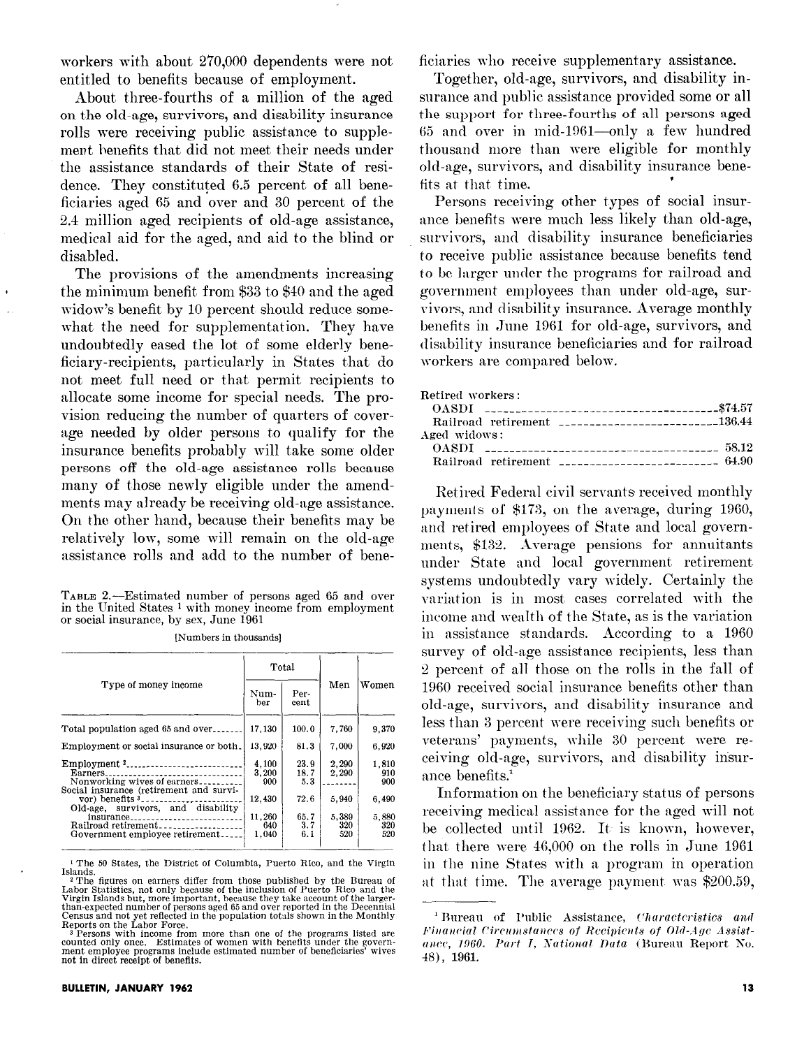workers with about 270,000 dependents were not entitled to benefits because of employment.

About three-fourths of a million of the aged on the old-age, survivors, and disability insurance rolls were receiving public assistance to supplement benefits that did not meet their needs under the assistance standards of their State of residence. They constituted 6.5 percent of all beneficiaries aged 65 and over and 30 percent of the 2.4 million aged recipients of old-age assistance, medical aid for the aged, and aid to the blind or disabled.

The provisions of the amendments increasing the minimum benefit from \$33 to \$40 and the aged widow's benefit by 10 percent should reduce somewhat the need for supplementation. They have undoubtedly eased the lot of some elderly beneficiary-recipients, particularly in States that do not meet full need or that permit recipients to allocate some income for special needs. The provision reducing the number of quarters of coverage needed by older persons to qualify for the insurance benefits probably mill take some older persons off the old-age assistance rolls because many of those newly eligible under the amendments may already be receiving old-age assistance. On the other hand, because their benefits may be relatively low, some will remain on the old-age assistance rolls and add to the number of bene-

TABLE 2.—Estimated number of persons aged 65 and over<br>in the United States <sup>1</sup> with money income from employment or social insurance, by sex, June 1961

|  |  | [Numbers in thousands] |
|--|--|------------------------|
|--|--|------------------------|

|                                                                                                                                                                                                                                                         | Total                                                     |                                                   |                                                |                                                     |  |
|---------------------------------------------------------------------------------------------------------------------------------------------------------------------------------------------------------------------------------------------------------|-----------------------------------------------------------|---------------------------------------------------|------------------------------------------------|-----------------------------------------------------|--|
| Type of money income                                                                                                                                                                                                                                    | Per-<br>Num-<br>ber<br>cent                               |                                                   | Men                                            | Women                                               |  |
| Total population aged 65 and over                                                                                                                                                                                                                       | 17.130                                                    | 100.0                                             | 7,760                                          | 9.370                                               |  |
| Employment or social insurance or both.                                                                                                                                                                                                                 | 13,920                                                    | 81.3                                              | 7,000                                          | 6.920                                               |  |
| Employment ?<br>Earners.<br>Nonworking wives of earners<br>Social insurance (retirement and survi-<br>$\text{vor}$ ) benefits $\frac{3}{2}$<br>Old-age, survivors, and disability<br>insurance<br>Railroad retirement<br>Government employee retirement | 4.100<br>3,200<br>900<br>12,430<br>11,260<br>640<br>1,040 | 23.9<br>18.7<br>5.3<br>72.6<br>65.7<br>3.7<br>6.1 | 2.290<br>2.290<br>5,940<br>5,389<br>320<br>520 | 1,810<br>910<br>900<br>6.490<br>5,880<br>320<br>520 |  |

<sup>1</sup> The 50 States, the District of Columbia, Puerto Rico, and the Virgin Islands.

<sup>2</sup> The figures on earners differ from those published by the Bureau of Labor Statistics, not only because of the inclusion of Puerto Rico and the<br>Virgin Islands but, more important, because they take account of the larger-<br>than-expected number of persons aged 65 and over reported in the Decen

3 Persons with income from more than one of the programs listed nre counted only once. Estimates of women with benefits under the govern-ment employee programs include estimated number of beneEciaries' wives not in direct receipt of benefits.

ficiaries who receive supplementary assistance.

Together, old-age, survivors, and disability insurance and public assistance provided some or all the support for three-fourths of all persons aged 65 and over in mid-1961-only a few hundred thousand more than were eligible for monthly old-age, survivors, and disability insurance benefits at that time.

Persons receiving other types of social insurance benefits were much less likely than old-age, survivors, and disability insurance beneficiaries to receive public assistance because benefits tend to be larger under the programs for railroad and government employees than under old-age, survivors, and disability insurance. Average monthly benefits in June 1961 for old-age, survivors, and disability insurance beneficiaries and for railroad workers are compared below.

### Retired workers:

| Railroad retirement __________________________ 64.90 |
|------------------------------------------------------|

Retired Federal civil servants received monthly payments of \$1'73, on the average, during 1960, and retired employees of State and local governments, \$132. Average pensions for annuitants wider State and local government retirement systems undoubtedly vary widely. Certainly the variation is in most cases correlated with the income and wealth of the State, as is the variation in assistance standards. According to a 1960 survey of old-age assistance recipients, less than 2 percent of all those on the rolls in the fall of 1960 received social insurance benefits other than old-age, survivors, and disability insurance and less than 3 percent were receiving such benefits or veterans' payments, while 30 percent were receiving old-age, survivors, and disability insurance benefits.<sup>1</sup>

Information on the beneficiary status of persons receiving medical assistance for the aged will not be collected until 1962. It is known, however, that, there were 46,000 on the rolls in June 1961 in the nine States with a program in operation at that time. The average payment was \$200.59,

<sup>&</sup>lt;sup>1</sup> Bureau of Public Assistance, Characteristics and Financial Circumstances of Recipients of Old-Age Assistance, 1960. Part I, National Data (Bureau Report No. 48), 1961.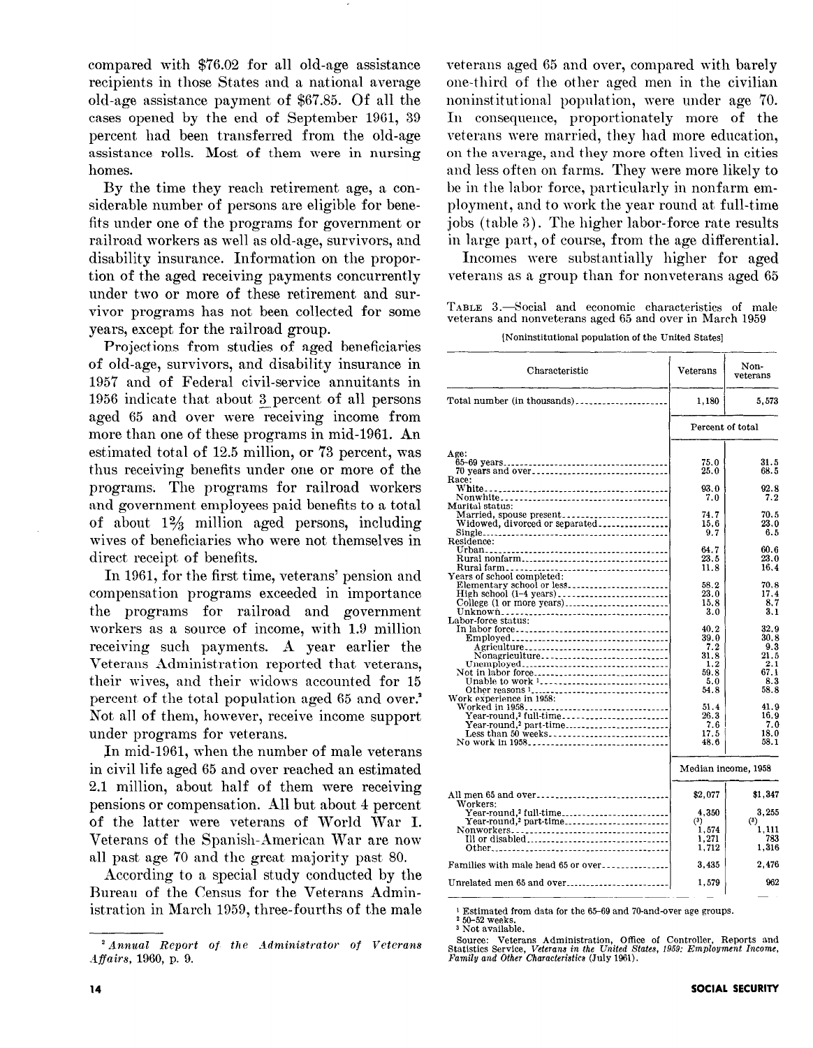compared with \$76.02 for all old-age assistance recipients in those States and a national average old-age assistance payment of \$67.85. Of all the cases opened by the end of September 1961, 39 percent had been transferred from the old-age assistance rolls. Most of them were in nursing homes.

By the time they reach retirement age, a considerable number of persons are eligible for benefits under one of the programs for government or railroad workers as well as old-age, survivors, and disability insurance. Information on the proportion of the aged receiving payments concurrently under two or more of these retirement and survivor programs has not been collected for some years, except for the railroad group.

Projections from studies of aged beneficiaries of old-age, survivors, and disability insurance in 1957 and of Federal civil-service annuitants in 1956 indicate that about 3 percent of all persons aged 65 and over were receiving income from more than one of these programs in mid-1961. An estimated total of 12.5 million, or 73 percent, was thus receiving benefits under one or more of the programs. The programs for railroad workers and government employees paid benefits to a total of about 12/s million aged persons, including wives of beneficiaries who were not themselves in direct receipt of benefits.

In 1961, for the first time, veterans' pension and compensation programs exceeded in importance the programs for railroad and government workers as a source of income, with 1.9 million receiving such payments. A year earlier the Veterans Administration reported that veterans, their wives, and their widows accounted for 15 percent of the total population aged 65 and over.' Not all of them, however, receive income support under programs for veterans.

Jn mid-1961, when the number of male veterans in civil life aged 65 and over reached an estimated 2.1 million, about half of them were receiving pensions or compensation. All but about 4 percent of the latter were veterans of World War I. Veterans of the Spanish-American War are now all past age 70 and the great majority past 80.

According to a special study conducted by the Bureau of the Census for the Veterans Administration in March 1959, three-fourths of the male veterans aged 65 and over, compared \vith barely one-third of the other aged men in the civilian noninstitutional population, were under age 70. In consequence, proportionately more of the veterans were married, they had more education, on the average, and they more often lived in cities and less often on farms. They were more likely to be in the labor force, particularly in nonfarm employment, and to work the year round at, full-time jobs (table 3). The higher labor-force rate results in large part, of course, from the age differential.

Incomes were substantially higher for aged veterans as a group than for nonveterans aged 65

TABLE 3.--8ocial and economic characteristics of male veterans and nonveterans aged 65 and over in March 1959

| [Noninstitutional population of the United States] |  |  |  |  |
|----------------------------------------------------|--|--|--|--|
|----------------------------------------------------|--|--|--|--|

| Characteristic                                                                                                                                                                                                                                                                                                                                                                                     | Veterans                                                                                                                                                                                      | Non-<br>veterans                                                                                                                                                                             |
|----------------------------------------------------------------------------------------------------------------------------------------------------------------------------------------------------------------------------------------------------------------------------------------------------------------------------------------------------------------------------------------------------|-----------------------------------------------------------------------------------------------------------------------------------------------------------------------------------------------|----------------------------------------------------------------------------------------------------------------------------------------------------------------------------------------------|
| Total number (in thousands)                                                                                                                                                                                                                                                                                                                                                                        | 1,180                                                                                                                                                                                         | 5,573                                                                                                                                                                                        |
|                                                                                                                                                                                                                                                                                                                                                                                                    |                                                                                                                                                                                               | Percent of total                                                                                                                                                                             |
| Age:<br>70 years and over<br>Race:<br>Marital status:<br>Widowed, divorced or separated<br>Residence:<br>Rural nonfarm<br>Years of school completed:<br>Elementary school or less<br>High school (1-4 years)<br>College (1 or more years)<br>Labor-force status:<br>Unemployed<br>Unable to work <sup>1</sup><br>Other reasons 1<br>Work experience in 1958:<br>Year-round, <sup>2</sup> full-time | 75.0<br>25.0<br>93.0<br>7.0<br>74.7<br>15.6<br>9.7<br>64.7<br>23.5<br>11.8<br>58.2<br>23.0<br>15.8<br>3.0<br>40.2<br>39.0<br>7.2<br>31.8<br>1.2<br>59.8<br>5.0<br>54.8<br>51.4<br>26.3<br>7.6 | 31.5<br>68.5<br>92.8<br>7.2<br>70.5<br>23.0<br>6.5<br>60.6<br>23.0<br>16.4<br>70.8<br>17.4<br>8.7<br>3.1<br>32.9<br>30.8<br>9.3<br>21.5<br>2.1<br>67.1<br>8.3<br>58.8<br>41.9<br>16.9<br>7.0 |
| Less than 50 weeks<br>No work in 1958                                                                                                                                                                                                                                                                                                                                                              | 17.5<br>48.6                                                                                                                                                                                  | 18.0<br>58.1                                                                                                                                                                                 |
|                                                                                                                                                                                                                                                                                                                                                                                                    |                                                                                                                                                                                               | Median income, 1958                                                                                                                                                                          |
| All men 65 and over<br>Workers:                                                                                                                                                                                                                                                                                                                                                                    | \$2,077                                                                                                                                                                                       | \$1,347                                                                                                                                                                                      |
| Year-round, <sup>2</sup> full-time<br>Year-round, <sup>2</sup> part-time<br>Ill or disabled                                                                                                                                                                                                                                                                                                        | 4,350<br>$^{(3)}$<br>1,574<br>1,271<br>1.712                                                                                                                                                  | 3,255<br>(3)<br>1.111<br>783<br>1,316                                                                                                                                                        |
| Families with male head 65 or over--------------                                                                                                                                                                                                                                                                                                                                                   | 3.435                                                                                                                                                                                         | 2,476                                                                                                                                                                                        |
|                                                                                                                                                                                                                                                                                                                                                                                                    | 1,579                                                                                                                                                                                         | 962                                                                                                                                                                                          |

<sup>&</sup>lt;sup>1</sup> Estimated from data for the 65-69 and 70-and-over age groups.

1 **1 In 1970** 

 $2$  Annual Report of the Administrator of Veterans Affairs, 1960, p. 9.

<sup>2 50-52</sup> weeks.

<sup>3</sup> Not available.

Source: Veterans Administration, Office of Controller, Reports and Statistics Service, Veterans in the United States, 1959: Employment Income, Family and Other Characteristics (July 1961).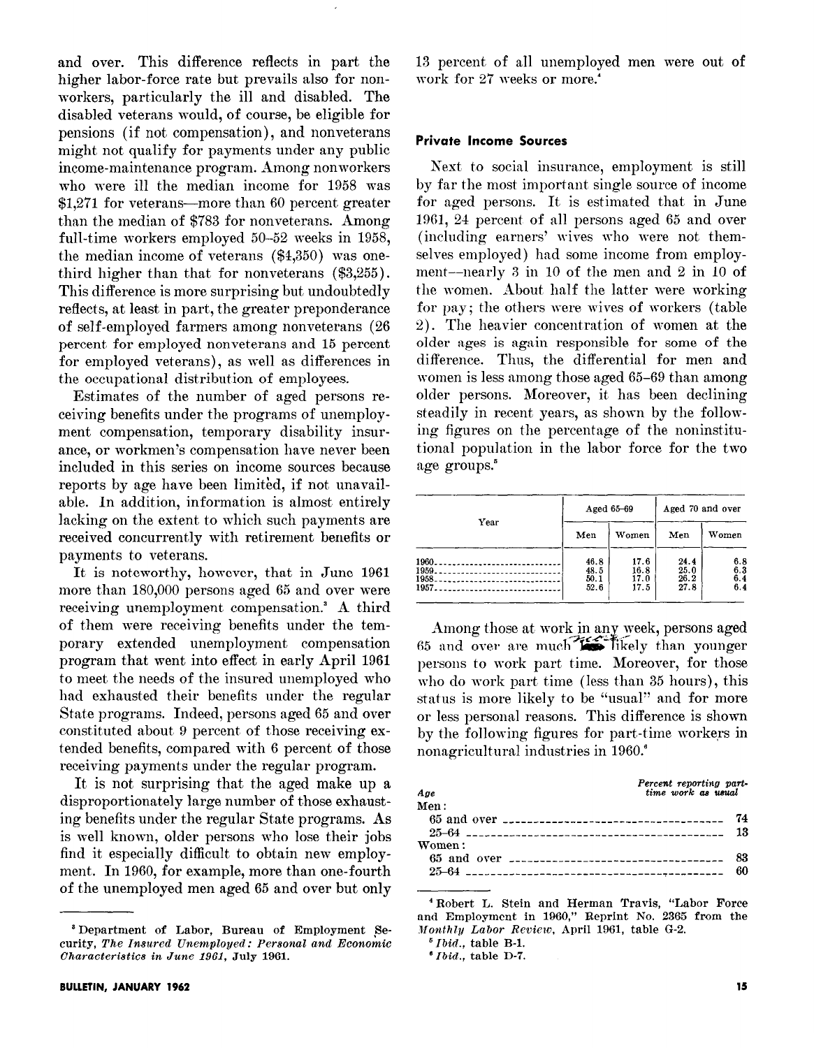and over. This difference reflects in part the higher labor-force rate but prevails also for nonworkers, particularly the ill and disabled. The disabled veterans would, of course, be eligible for pensions (if not compensation), and nonveterans might not qualify for payments under any public income-maintenance program. Among nonworkers who were ill the median income for 1958 was \$1,271 for veterans-more than 60 percent greater than the median of \$783 for nonveterans. Among full-time workers employed 50-52 weeks in 1958, the median income of veterans (\$4,350) was onethird higher than that for nonveterans (\$3,255). This difference is more surprising but undoubtedly reflects, at least in part, the greater preponderance of self-employed farmers among nonveterans (26 percent, for employed nonveterans and 15 percent for employed veterans), as well as differences in the occupational distribution of employees.

Estimates of the number of aged persons receiving benefits under the programs of unemployment compensation, temporary disability insurance, or workmen? compensation have never been included in this series on income sources because reports by age have been limited, if not unavailable. In addition, information is almost entirely lacking on the extent to which such payments are received concurrently with retirement benefits or payments to veterans.

It is noteworthy, however, that in June 1961 more than 180,000 persons aged 65 and over were receiving unemployment compensation." A third of them were receiving benefits under the temporary extended unemployment compensation program that went into effect in early April 1961 to meet the needs of the insured unemployed who had exhausted their benefits under the regular State programs. Indeed, persons aged 65 and over constituted about 9 percent of those receiving extended benefits, compared with 6 percent of those receiving payments under the regular program.

It is not surprising that the aged make up a disproportionately large number of those exhausting benefits under the regular State programs. As is well known, older persons who lose their jobs find it especially difficult to obtain new employment. In 1960, for example, more than one-fourth of the unemployed men aged 65 and over but only

13 percent of all unemployed men were out of work for 27 weeks or more.<sup>4</sup>

### Private Income Sources

Next to social insurance, employment is still by far the most important single source of income for aged persons. It is estimated that in June 1961, 24 percent of all persons aged 65 and over (including earners' wives who were not themselves employed) had some income from employment-nearly 3 in 10 of the men and 2 in 10 of the women. About half the latter were working for pay; the others were wives of workers (table 2). The heavier concentration of women at the older ages is again responsible for some of the difference. Thus, the differential for men and women is less among those aged 65-69 than among older persons. Moreover, it has been declining steadily in recent years, as shown by the following figures on the percentage of the noninstitutional population in the labor force for the two age groups.'

|                                                                                                                                 |              | Aged 65-69   | Aged 70 and over |            |  |
|---------------------------------------------------------------------------------------------------------------------------------|--------------|--------------|------------------|------------|--|
| Year                                                                                                                            | Men          | Women        | Men              | Women      |  |
| 1960.<br>the second control of the second control of the second control of the second control of the second control of<br>1959. | 46.8<br>48.5 | 17.6<br>16.8 | 24.4<br>25.0     | 6.8<br>6.3 |  |
| 1958                                                                                                                            | 50.1<br>52.6 | 17.0<br>17.5 | 26.2<br>27.8     | 6.4<br>6.4 |  |

Among those at work in any week, persons aged 65 and over are much likely than younger persons to work part time. Moreover, for those who do work part time (less than 35 hours), this status is more likely to be "usual" and for more or less personal reasons. This difference is shown by the following figures for part-time workers in nonagricultural industries in 1960."

| Age                                                                                                                                                                                                                                                                                                   | Percent reporting part-<br>time work as usual |
|-------------------------------------------------------------------------------------------------------------------------------------------------------------------------------------------------------------------------------------------------------------------------------------------------------|-----------------------------------------------|
| Men :                                                                                                                                                                                                                                                                                                 |                                               |
| 65 and over $\frac{1}{2}$ = $\frac{1}{2}$ = $\frac{1}{2}$ = $\frac{1}{2}$ = $\frac{1}{2}$ = $\frac{1}{2}$ = $\frac{1}{2}$ = $\frac{1}{2}$ = $\frac{1}{2}$ = $\frac{1}{2}$ = $\frac{1}{2}$ = $\frac{1}{2}$ = $\frac{1}{2}$ = $\frac{1}{2}$ = $\frac{1}{2}$ = $\frac{1}{2}$ = $\frac{1}{2}$ = $\frac{1$ |                                               |
|                                                                                                                                                                                                                                                                                                       |                                               |
| Women :                                                                                                                                                                                                                                                                                               |                                               |
|                                                                                                                                                                                                                                                                                                       |                                               |
|                                                                                                                                                                                                                                                                                                       |                                               |
|                                                                                                                                                                                                                                                                                                       |                                               |

4 Robert L. Stein and Herman Travis, "Labor Force and Employment in 1960," Reprint No. 2365 from the Monthly Labor Review, April 1961, table G-2.

 $<sup>5</sup>Ibid., table B-1.$ </sup>

 $^6$  *Ibid.*, table D-7.

<sup>&</sup>lt;sup>8</sup> Department of Labor, Bureau of Employment Security, The Insured Unemployed: Personal and Economic Characteristics in June 1961, July 1961.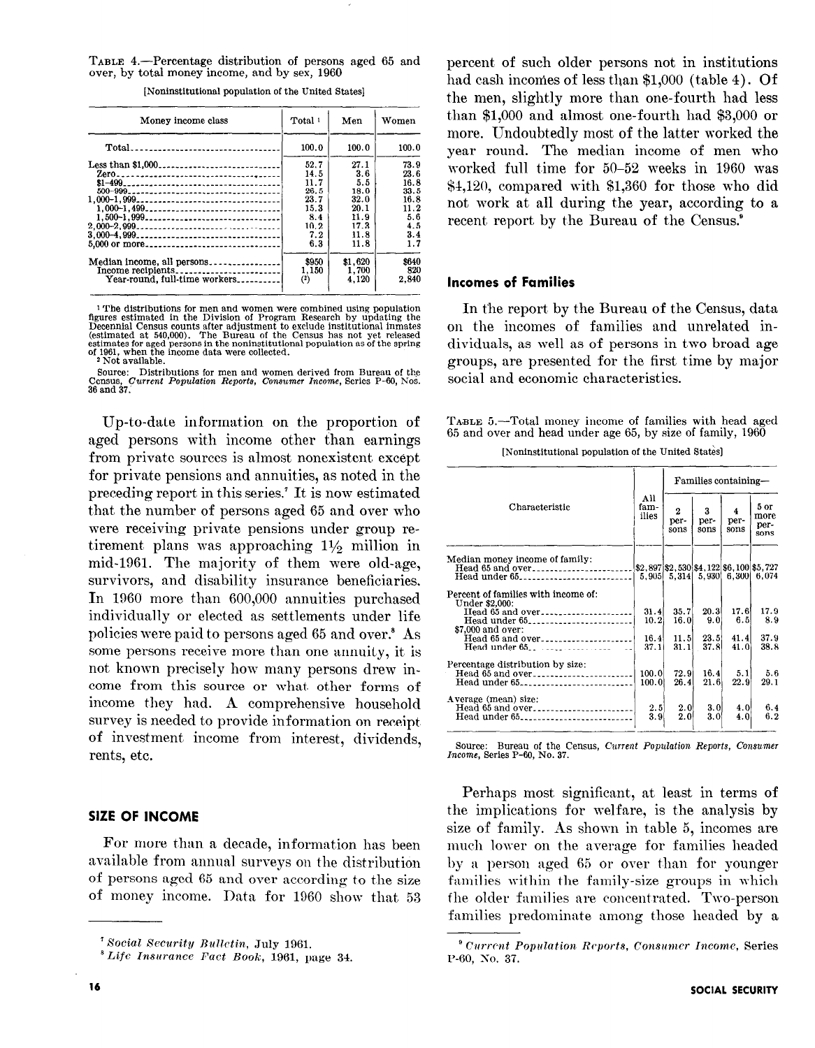TABLE 4.-Percentage distribution of persons aged 65 and over, by total money income, and by sex, 1960

| Money income class            | Total <sup>1</sup> | Men     | Women |
|-------------------------------|--------------------|---------|-------|
| Total                         | 100.0              | 100.0   | 100.0 |
| Less than \$1,000             | 52.7               | 27.1    | 73.9  |
|                               | 14.5               | 3.6     | 23.6  |
|                               | 11.7               | 5.5     | 16.8  |
|                               | 26.5               | 18.0    | 33.5  |
|                               | 23.7               | 32.0    | 16.8  |
|                               | 15.3               | 20.1    | 11.2  |
| 1.500-1,999                   | 8.4                | 11.9    | 5.6   |
|                               | 10.2               | 17.3    | 4.5   |
|                               | 7.2                | 11.8    | 3.4   |
| 5,000 or more                 | 6.3                | 11.8    | 1.7   |
| Median income, all persons    | \$950              | \$1.620 | \$640 |
|                               | 1,150              | 1,700   | 820   |
| Year-round, full-time workers | $(2)$              | 4.120   | 2.840 |

[Noninstitutional population of the United States]

<sup>1</sup> The distributions for men and women were combined using population figures estimated in the Division of Program Research by updating the Decennial Census counts after adjustment to exclude institutional inmates (estim

Source: Distributions for men and women derived from Bureau of the<br>Census, *Current Population Reports, Consumer Income*, Scries P-60, Nos.<br>36 and 37.

Up-to-date information on the proportion of aged persons with income other than earnings from private sources is almost nonexistent except for private pensions and annuities, as noted in the preceding report in this series.' It is now estimated that the number of persons aged 65 and over who were receiving private pensions under group retirement plans was approaching  $1\frac{1}{2}$  million in mid-1961. The majority of them were old-age, survivors, and disability insurance beneficiaries. In 1960 more than 600,000 annuities purchased individually or elected as settlements under life policies were paid to persons aged 65 and over.' As some persons receive more than one annuity, it is not known precisely how many persons drew income from this source or what, other forms of income they had. A comprehensive household survey is needed to provide information on receipt of investment income from interest, dividends, rents, etc.

available from annual surveys on the distribution by a person aged 65 or over than for younger<br>of persons aged 65 and over according to the size families within the family-size groups in which

percent of such older persons not in institutions had cash incomes of less than \$1,000 (table 4). Of the men, slightly more than one-fourth had less than \$1,000 and almost one-fourth had \$3,000 or more. Undoubtedly most of the latter worked the year round. The median income of men who worked full time for  $50-52$  weeks in 1960 was \$4.120, compared with \$1.360 for those who did not work at all during the year, according to a recent report by the Bureau of the Census.'

### Incomes of Families

In the report by the Bureau of the Census, data on the incomes of families and unrelated individuals, as well as of persons in two broad age groups, are presented for the first time by major social and economic characteristics.

TABLE 5.-Total money income of families with head aged 65 and over and head under age 65, by size of family, 1960

[Noninstitutional population of the United States]

| Characteristic                                                                                             |                | Families containing-                                                       |                         |              |                              |  |  |
|------------------------------------------------------------------------------------------------------------|----------------|----------------------------------------------------------------------------|-------------------------|--------------|------------------------------|--|--|
|                                                                                                            |                | $\boldsymbol{2}$<br>3<br>per-<br>per-<br>sons<br>sons                      |                         | per-<br>sons | 5 or<br>more<br>per-<br>sons |  |  |
| Median money income of family:<br>Head 65 and over<br>Head under 65<br>Percent of families with income of: |                | \$2,897 \$2,530 \$4,122 \$6,100 \$5,727<br>$5,905$ $5,314$ $5,930$ $6,300$ |                         |              | 6.074                        |  |  |
| Under \$2,000:<br>Head 65 and over<br>Head under 65<br>\$7,000 and over:                                   | 31.4<br>10.2   | 35.7<br>16.0                                                               | 20.3<br>9.0             | 17.6<br>6.5  | 17.9<br>8.9                  |  |  |
|                                                                                                            | 16.4<br>37.11  | 11.5<br>31. Il                                                             | 23.5<br>37.81           | 41.4<br>41.0 | 37.9<br>38.8                 |  |  |
| Percentage distribution by size:<br>Head 65 and over<br>Head under 65                                      | 100.0<br>100.0 | 72.9I<br>26.4                                                              | 16.4<br>21.6            | 5.1<br>22.9  | 5.6<br>29.1                  |  |  |
| Average (mean) size:<br>Head 65 and over                                                                   | 2.5<br>3.9     | 2.0<br>2.0                                                                 | 3.0<br>3.0 <sub>1</sub> | 4.0<br>4.0   | 6.4<br>6.2                   |  |  |

Source: Bureau of the Census, Current Population Reports, Consumer Income, Series P-60, No. 37.

Perhaps most significant, at least in terms of SIZE OF INCOME the implications for welfare, is the analysis by size of family. As shown in table 5, incomes are For more than a decade, information has been much lower on the average for families headed families within the family-size groups in which of money income. Data for 1960 show that 53 fhe older families are concentrated. Two-person families predominate among those headed by a

 $1$ <sup>T</sup> Social Security Bullctin, July 1961.

<sup>&#</sup>x27;Life Insurance Fact Book, 1961, page 34.

<sup>&</sup>lt;sup>9</sup> Current Population Reports, Consumer Income, Series P-60, No. 37.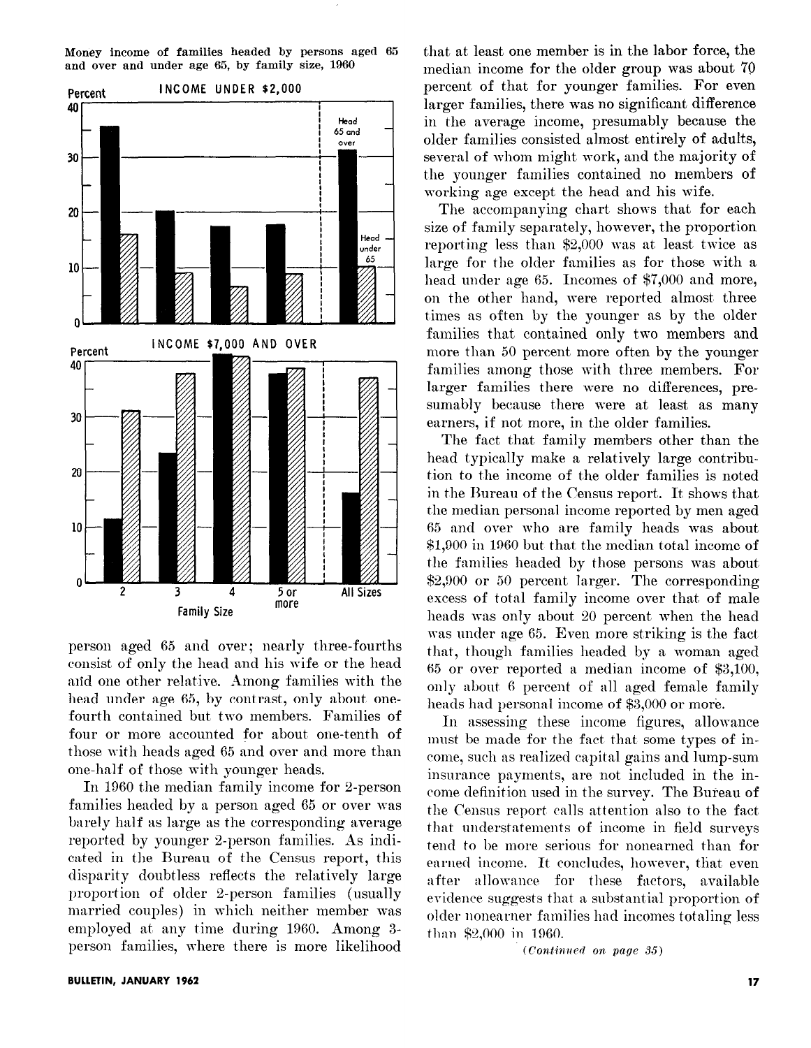Money income of families headed by persons aged 65 and over and under age 65, by family size, 1960



person aged 65 and over; nearly three-fourths consist of only the head and his wife or the head and one other relative. Among families with the head under age 65, by contrast, only about onefourth contained but two members. Families of four or more accounted for about one-tenth of those with heads aged 65 and over and more than one-half of those with younger heads.

In 1960 the median family income for 2-person families headed by a person aged 65 or over was barely half as large as the corresponding average reported by younger 2-person families. As indicated in the Bureau of the Census report, this disparity doubtless reflects the relatively large proportion of older 2-person families (usually married couples) in which neither member was employed at any time during 1960. Among 3 person families, where there is more likelihood that at least one member is in the labor force, the median income for the older group was about '70 percent of that for younger families. For even larger families, there was no significant difference in the average income, presumably because the older families consisted almost entirely of adults, several of whom might work, and the majority of the younger families contained no members of working age except the head and his wife.

The accompanying chart shows that for each size of family separately, however, the proportion reporting less than \$2,000 was at least twice as large for the older families as for those with a head under age 65. Incomes of \$7,000 and more, on the other hand, were reported almost three times as often by the younger as by the older families that contained only two members and more than 50 percent more often by the younger families among those with three members. For larger families there were no differences, presumably because there were at least as many earners, if not more, in the older families.

The fact that family members other than the head typically make a relatively large contribution to the income of the older families is noted in the Bureau of the Census report. It shows that the median personal income reported by men aged 65 and over who are family heads was about \$1,900 in 1960 but that the median total income of the families headed by those persons was about, \$2,900 or 50 percent larger. The corresponding excess of total family income over that, of male heads was only about 20 percent when the head was under age 65. Even more striking is the fact that, though families headed by a woman aged 65 or over reported a median income of \$3,100, only about 6 percent of all aged female family heads had personal income of \$3,000 or more.

In assessing these income figures, allowance must be made for the fact that some types of income, such as realized capital gains and lump-sum insurance payments, are not included in the income definition used in the survey. The Bureau of the Census report calls attention also to the fact that understatements of income in field surveys tend to be more serious for nonearned than for earned income. It concludes, however, that even after allowance for these factors, available evidence suggests that a substantial proportion of older nonearner families had incomes totaling less than \$2,000 in 1060.

(Continued on page 35)